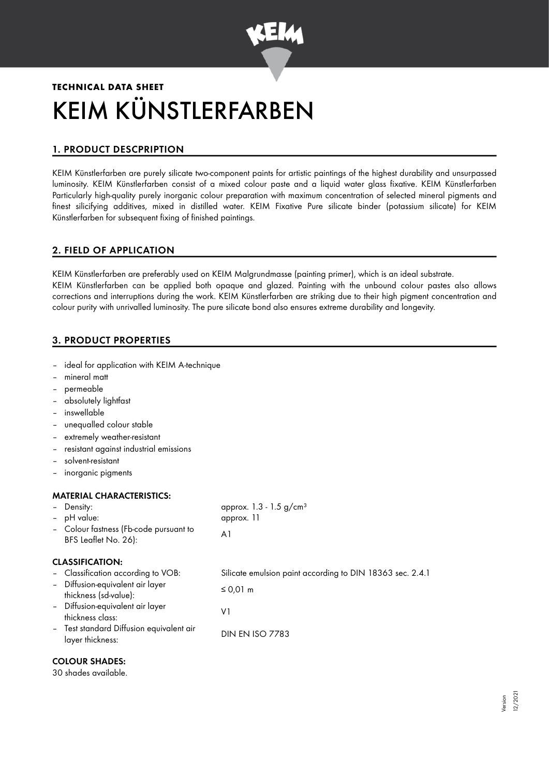

# **TECHNICAL DATA SHEET** KEIM KÜNSTLERFARBEN

# 1. PRODUCT DESCPRIPTION

KEIM Künstlerfarben are purely silicate two-component paints for artistic paintings of the highest durability and unsurpassed luminosity. KEIM Künstlerfarben consist of a mixed colour paste and a liquid water glass fixative. KEIM Künstlerfarben Particularly high-quality purely inorganic colour preparation with maximum concentration of selected mineral pigments and finest silicifying additives, mixed in distilled water. KEIM Fixative Pure silicate binder (potassium silicate) for KEIM Künstlerfarben for subsequent fixing of finished paintings.

## 2. FIELD OF APPLICATION

KEIM Künstlerfarben are preferably used on KEIM Malgrundmasse (painting primer), which is an ideal substrate. KEIM Künstlerfarben can be applied both opaque and glazed. Painting with the unbound colour pastes also allows corrections and interruptions during the work. KEIM Künstlerfarben are striking due to their high pigment concentration and colour purity with unrivalled luminosity. The pure silicate bond also ensures extreme durability and longevity.

## 3. PRODUCT PROPERTIES

- ideal for application with KEIM A-technique
- mineral matt
- permeable
- absolutely lightfast
- inswellable
- unequalled colour stable
- extremely weather-resistant
- resistant against industrial emissions
- solvent-resistant
- inorganic pigments

## MATERIAL CHARACTERISTICS:

| <b>CLASSIFICATION:</b><br>- Classification according to VOB:<br>- Diffusion-equivalent air layer<br>≤ 0,01 m<br>thickness (sd-value):<br>- Diffusion-equivalent air layer<br>٧1<br>thickness class:<br>- Test standard Diffusion equivalent air<br><b>DIN EN ISO 7783</b><br>layer thickness: | - Density:<br>- pH value:<br>- Colour fastness (Fb-code pursuant to<br>BFS Leaflet No. 26): | approx. $1.3 - 1.5$ g/cm <sup>3</sup><br>approx. 11<br>A1 |
|-----------------------------------------------------------------------------------------------------------------------------------------------------------------------------------------------------------------------------------------------------------------------------------------------|---------------------------------------------------------------------------------------------|-----------------------------------------------------------|
|                                                                                                                                                                                                                                                                                               |                                                                                             | Silicate emulsion paint according to DIN 18363 sec. 2.4.1 |

## COLOUR SHADES:

30 shades available.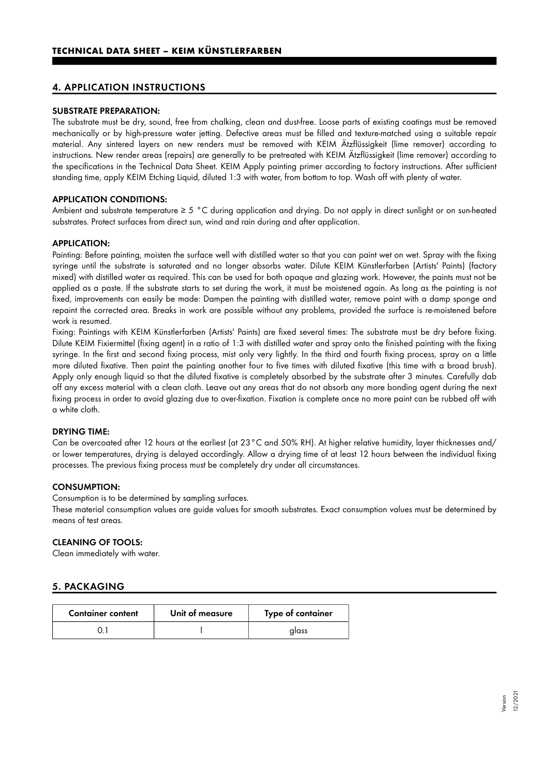## 4. APPLICATION INSTRUCTIONS

#### SUBSTRATE PREPARATION:

The substrate must be dry, sound, free from chalking, clean and dust-free. Loose parts of existing coatings must be removed mechanically or by high-pressure water jetting. Defective areas must be filled and texture-matched using a suitable repair material. Any sintered layers on new renders must be removed with KEIM Ätzflüssigkeit (lime remover) according to instructions. New render areas (repairs) are generally to be pretreated with KEIM Ätzflüssigkeit (lime remover) according to the specifications in the Technical Data Sheet. KEIM Apply painting primer according to factory instructions. After sufficient standing time, apply KEIM Etching Liquid, diluted 1:3 with water, from bottom to top. Wash off with plenty of water.

#### APPLICATION CONDITIONS:

Ambient and substrate temperature ≥ 5 °C during application and drying. Do not apply in direct sunlight or on sun-heated substrates. Protect surfaces from direct sun, wind and rain during and after application.

#### APPLICATION:

Painting: Before painting, moisten the surface well with distilled water so that you can paint wet on wet. Spray with the fixing syringe until the substrate is saturated and no longer absorbs water. Dilute KEIM Künstlerfarben (Artists' Paints) (factory mixed) with distilled water as required. This can be used for both opaque and glazing work. However, the paints must not be applied as a paste. If the substrate starts to set during the work, it must be moistened again. As long as the painting is not fixed, improvements can easily be made: Dampen the painting with distilled water, remove paint with a damp sponge and repaint the corrected area. Breaks in work are possible without any problems, provided the surface is re-moistened before work is resumed.

Fixing: Paintings with KEIM Künstlerfarben (Artists' Paints) are fixed several times: The substrate must be dry before fixing. Dilute KEIM Fixiermittel (fixing agent) in a ratio of 1:3 with distilled water and spray onto the finished painting with the fixing syringe. In the first and second fixing process, mist only very lightly. In the third and fourth fixing process, spray on a little more diluted fixative. Then paint the painting another four to five times with diluted fixative (this time with a broad brush). Apply only enough liquid so that the diluted fixative is completely absorbed by the substrate after 3 minutes. Carefully dab off any excess material with a clean cloth. Leave out any areas that do not absorb any more bonding agent during the next fixing process in order to avoid glazing due to over-fixation. Fixation is complete once no more paint can be rubbed off with a white cloth.

#### DRYING TIME:

Can be overcoated after 12 hours at the earliest (at 23°C and 50% RH). At higher relative humidity, layer thicknesses and/ or lower temperatures, drying is delayed accordingly. Allow a drying time of at least 12 hours between the individual fixing processes. The previous fixing process must be completely dry under all circumstances.

#### CONSUMPTION:

Consumption is to be determined by sampling surfaces.

These material consumption values are guide values for smooth substrates. Exact consumption values must be determined by means of test areas.

## CLEANING OF TOOLS:

Clean immediately with water.

#### 5. PACKAGING

| <b>Container content</b> | Unit of measure | Type of container |
|--------------------------|-----------------|-------------------|
|                          |                 | glass             |